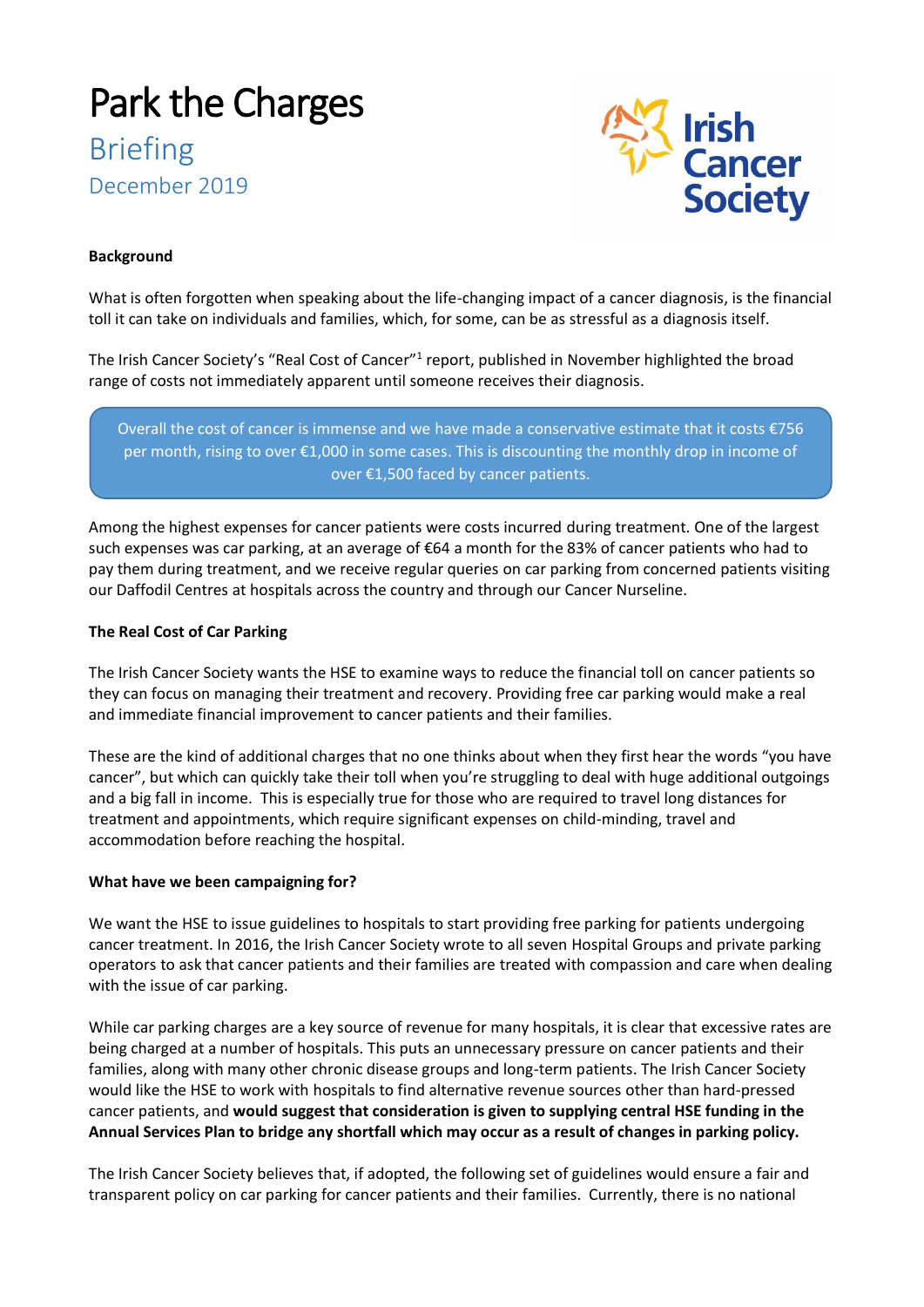# Park the Charges Briefing December 2019



# **Background**

What is often forgotten when speaking about the life-changing impact of a cancer diagnosis, is the financial toll it can take on individuals and families, which, for some, can be as stressful as a diagnosis itself.

The Irish Cancer Society's "Real Cost of Cancer"<sup>1</sup> report, published in November highlighted the broad range of costs not immediately apparent until someone receives their diagnosis.

Overall the cost of cancer is immense and we have made a conservative estimate that it costs €756 per month, rising to over €1,000 in some cases. This is discounting the monthly drop in income of over €1,500 faced by cancer patients.

Among the highest expenses for cancer patients were costs incurred during treatment. One of the largest such expenses was car parking, at an average of €64 a month for the 83% of cancer patients who had to pay them during treatment, and we receive regular queries on car parking from concerned patients visiting our Daffodil Centres at hospitals across the country and through our Cancer Nurseline.

## **The Real Cost of Car Parking**

The Irish Cancer Society wants the HSE to examine ways to reduce the financial toll on cancer patients so they can focus on managing their treatment and recovery. Providing free car parking would make a real and immediate financial improvement to cancer patients and their families.

These are the kind of additional charges that no one thinks about when they first hear the words "you have cancer", but which can quickly take their toll when you're struggling to deal with huge additional outgoings and a big fall in income. This is especially true for those who are required to travel long distances for treatment and appointments, which require significant expenses on child-minding, travel and accommodation before reaching the hospital.

### **What have we been campaigning for?**

We want the HSE to issue guidelines to hospitals to start providing free parking for patients undergoing cancer treatment. In 2016, the Irish Cancer Society wrote to all seven Hospital Groups and private parking operators to ask that cancer patients and their families are treated with compassion and care when dealing with the issue of car parking.

While car parking charges are a key source of revenue for many hospitals, it is clear that excessive rates are being charged at a number of hospitals. This puts an unnecessary pressure on cancer patients and their families, along with many other chronic disease groups and long-term patients. The Irish Cancer Society would like the HSE to work with hospitals to find alternative revenue sources other than hard-pressed cancer patients, and **would suggest that consideration is given to supplying central HSE funding in the Annual Services Plan to bridge any shortfall which may occur as a result of changes in parking policy.**

The Irish Cancer Society believes that, if adopted, the following set of guidelines would ensure a fair and transparent policy on car parking for cancer patients and their families. Currently, there is no national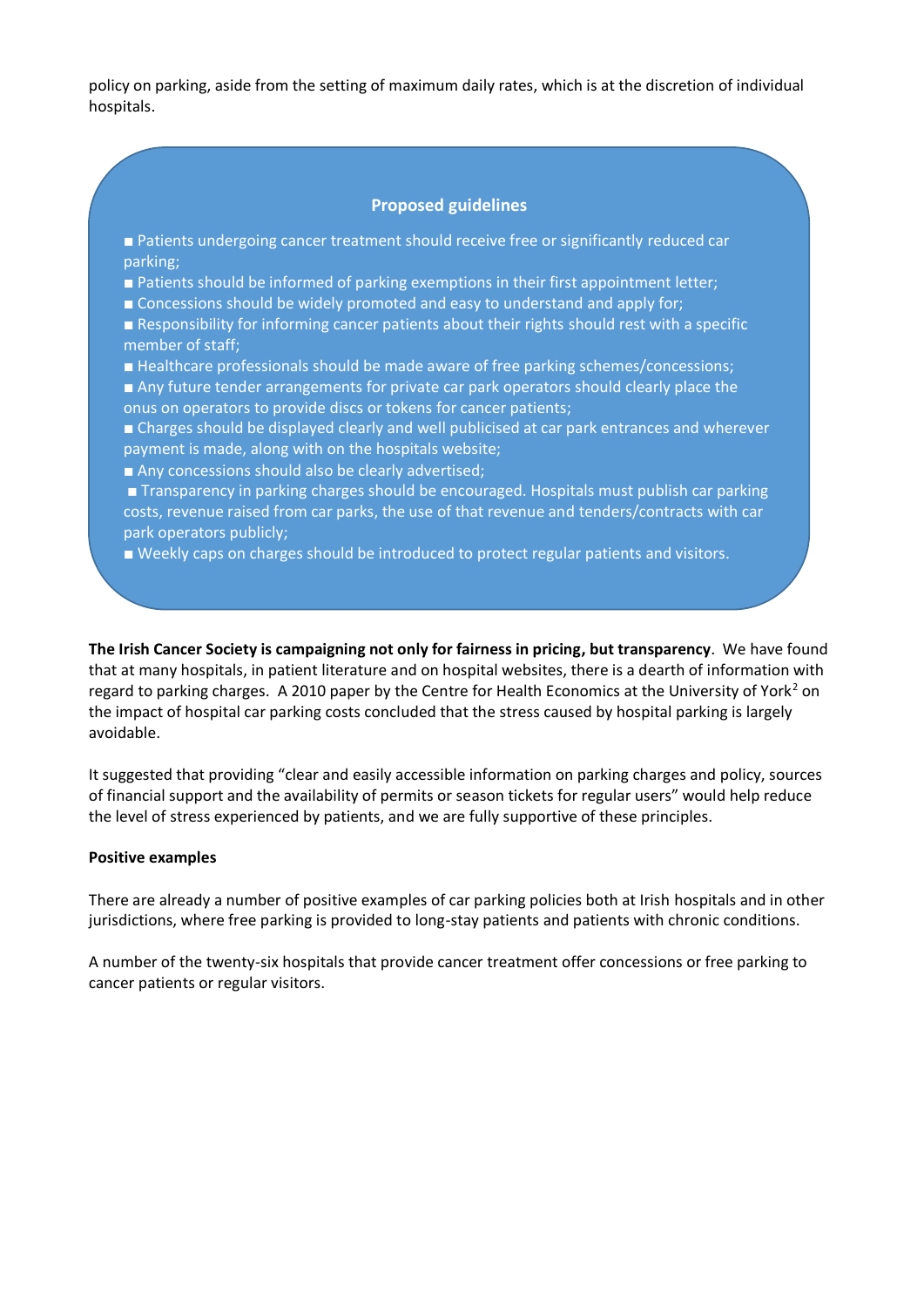policy on parking, aside from the setting of maximum daily rates, which is at the discretion of individual hospitals.

# **Proposed guidelines**

■ Patients undergoing cancer treatment should receive free or significantly reduced car parking;

■ Patients should be informed of parking exemptions in their first appointment letter;

■ Concessions should be widely promoted and easy to understand and apply for;

■ Responsibility for informing cancer patients about their rights should rest with a specific member of staff;

■ Healthcare professionals should be made aware of free parking schemes/concessions;

■ Any future tender arrangements for private car park operators should clearly place the onus on operators to provide discs or tokens for cancer patients;

■ Charges should be displayed clearly and well publicised at car park entrances and wherever payment is made, along with on the hospitals website;

■ Any concessions should also be clearly advertised;

■ Transparency in parking charges should be encouraged. Hospitals must publish car parking costs, revenue raised from car parks, the use of that revenue and tenders/contracts with car park operators publicly;

■ Weekly caps on charges should be introduced to protect regular patients and visitors.

**The Irish Cancer Society is campaigning not only for fairness in pricing, but transparency**. We have found that at many hospitals, in patient literature and on hospital websites, there is a dearth of information with regard to parking charges. A 2010 paper by the Centre for Health Economics at the University of York<sup>2</sup> on the impact of hospital car parking costs concluded that the stress caused by hospital parking is largely avoidable.

It suggested that providing "clear and easily accessible information on parking charges and policy, sources of financial support and the availability of permits or season tickets for regular users" would help reduce the level of stress experienced by patients, and we are fully supportive of these principles.

#### **Positive examples**

There are already a number of positive examples of car parking policies both at Irish hospitals and in other jurisdictions, where free parking is provided to long-stay patients and patients with chronic conditions.

A number of the twenty-six hospitals that provide cancer treatment offer concessions or free parking to cancer patients or regular visitors.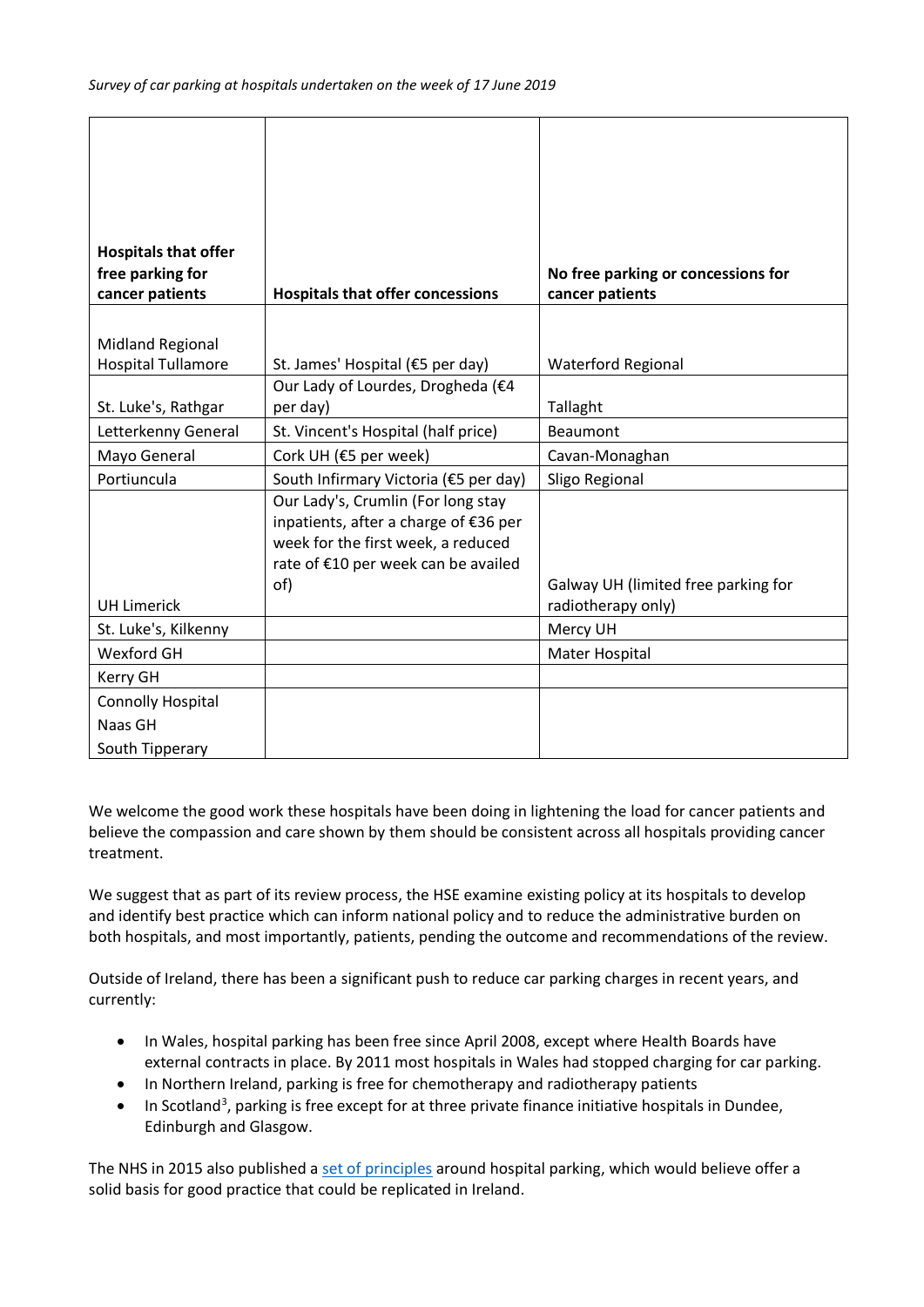| cancer patients                                                                                                                                                                                                                                                                            | <b>Hospitals that offer concessions</b>                                                                                                                                                                                                                                                                              | cancer patients                                                                                                                                                                                      |
|--------------------------------------------------------------------------------------------------------------------------------------------------------------------------------------------------------------------------------------------------------------------------------------------|----------------------------------------------------------------------------------------------------------------------------------------------------------------------------------------------------------------------------------------------------------------------------------------------------------------------|------------------------------------------------------------------------------------------------------------------------------------------------------------------------------------------------------|
|                                                                                                                                                                                                                                                                                            |                                                                                                                                                                                                                                                                                                                      |                                                                                                                                                                                                      |
| <b>Midland Regional</b>                                                                                                                                                                                                                                                                    |                                                                                                                                                                                                                                                                                                                      |                                                                                                                                                                                                      |
|                                                                                                                                                                                                                                                                                            |                                                                                                                                                                                                                                                                                                                      |                                                                                                                                                                                                      |
|                                                                                                                                                                                                                                                                                            |                                                                                                                                                                                                                                                                                                                      |                                                                                                                                                                                                      |
|                                                                                                                                                                                                                                                                                            |                                                                                                                                                                                                                                                                                                                      |                                                                                                                                                                                                      |
|                                                                                                                                                                                                                                                                                            |                                                                                                                                                                                                                                                                                                                      |                                                                                                                                                                                                      |
|                                                                                                                                                                                                                                                                                            |                                                                                                                                                                                                                                                                                                                      |                                                                                                                                                                                                      |
| Portiuncula                                                                                                                                                                                                                                                                                | South Infirmary Victoria (€5 per day)                                                                                                                                                                                                                                                                                | Sligo Regional                                                                                                                                                                                       |
|                                                                                                                                                                                                                                                                                            |                                                                                                                                                                                                                                                                                                                      |                                                                                                                                                                                                      |
|                                                                                                                                                                                                                                                                                            |                                                                                                                                                                                                                                                                                                                      |                                                                                                                                                                                                      |
|                                                                                                                                                                                                                                                                                            |                                                                                                                                                                                                                                                                                                                      |                                                                                                                                                                                                      |
|                                                                                                                                                                                                                                                                                            |                                                                                                                                                                                                                                                                                                                      |                                                                                                                                                                                                      |
|                                                                                                                                                                                                                                                                                            |                                                                                                                                                                                                                                                                                                                      |                                                                                                                                                                                                      |
|                                                                                                                                                                                                                                                                                            |                                                                                                                                                                                                                                                                                                                      |                                                                                                                                                                                                      |
|                                                                                                                                                                                                                                                                                            |                                                                                                                                                                                                                                                                                                                      |                                                                                                                                                                                                      |
|                                                                                                                                                                                                                                                                                            |                                                                                                                                                                                                                                                                                                                      |                                                                                                                                                                                                      |
|                                                                                                                                                                                                                                                                                            |                                                                                                                                                                                                                                                                                                                      |                                                                                                                                                                                                      |
|                                                                                                                                                                                                                                                                                            |                                                                                                                                                                                                                                                                                                                      |                                                                                                                                                                                                      |
|                                                                                                                                                                                                                                                                                            |                                                                                                                                                                                                                                                                                                                      |                                                                                                                                                                                                      |
| <b>Hospitals that offer</b><br>free parking for<br><b>Hospital Tullamore</b><br>St. Luke's, Rathgar<br>Letterkenny General<br>Mayo General<br><b>UH Limerick</b><br>St. Luke's, Kilkenny<br><b>Wexford GH</b><br><b>Kerry GH</b><br><b>Connolly Hospital</b><br>Naas GH<br>South Tipperary | St. James' Hospital (€5 per day)<br>Our Lady of Lourdes, Drogheda (€4<br>per day)<br>St. Vincent's Hospital (half price)<br>Cork UH (€5 per week)<br>Our Lady's, Crumlin (For long stay<br>inpatients, after a charge of €36 per<br>week for the first week, a reduced<br>rate of €10 per week can be availed<br>of) | No free parking or concessions for<br>Waterford Regional<br>Tallaght<br><b>Beaumont</b><br>Cavan-Monaghan<br>Galway UH (limited free parking for<br>radiotherapy only)<br>Mercy UH<br>Mater Hospital |

We welcome the good work these hospitals have been doing in lightening the load for cancer patients and believe the compassion and care shown by them should be consistent across all hospitals providing cancer treatment.

We suggest that as part of its review process, the HSE examine existing policy at its hospitals to develop and identify best practice which can inform national policy and to reduce the administrative burden on both hospitals, and most importantly, patients, pending the outcome and recommendations of the review.

Outside of Ireland, there has been a significant push to reduce car parking charges in recent years, and currently:

- In Wales, hospital parking has been free since April 2008, except where Health Boards have external contracts in place. By 2011 most hospitals in Wales had stopped charging for car parking.
- In Northern Ireland, parking is free for chemotherapy and radiotherapy patients
- In Scotland<sup>3</sup>, parking is free except for at three private finance initiative hospitals in Dundee, Edinburgh and Glasgow.

The NHS in 2015 also published a [set of principles](https://www.gov.uk/government/publications/nhs-patient-visitor-and-staff-car-parking-principles/nhs-patient-visitor-and-staff-car-parking-principles) around hospital parking, which would believe offer a solid basis for good practice that could be replicated in Ireland.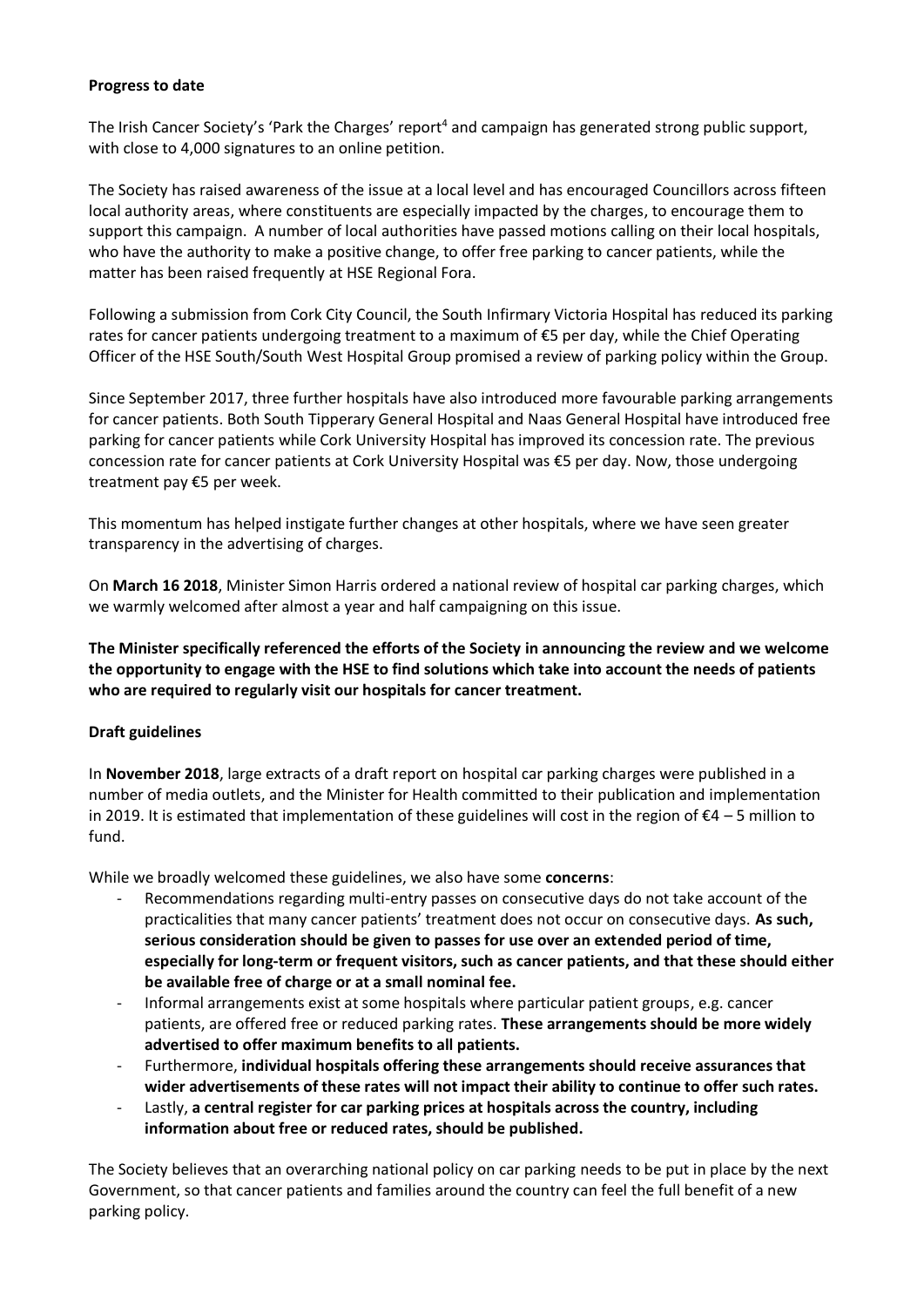### **Progress to date**

The Irish Cancer Society's 'Park the Charges' report<sup>4</sup> and campaign has generated strong public support, with close to 4,000 signatures to an online petition.

The Society has raised awareness of the issue at a local level and has encouraged Councillors across fifteen local authority areas, where constituents are especially impacted by the charges, to encourage them to support this campaign. A number of local authorities have passed motions calling on their local hospitals, who have the authority to make a positive change, to offer free parking to cancer patients, while the matter has been raised frequently at HSE Regional Fora.

Following a submission from Cork City Council, the South Infirmary Victoria Hospital has reduced its parking rates for cancer patients undergoing treatment to a maximum of €5 per day, while the Chief Operating Officer of the HSE South/South West Hospital Group promised a review of parking policy within the Group.

Since September 2017, three further hospitals have also introduced more favourable parking arrangements for cancer patients. Both South Tipperary General Hospital and Naas General Hospital have introduced free parking for cancer patients while Cork University Hospital has improved its concession rate. The previous concession rate for cancer patients at Cork University Hospital was €5 per day. Now, those undergoing treatment pay €5 per week.

This momentum has helped instigate further changes at other hospitals, where we have seen greater transparency in the advertising of charges.

On **March 16 2018**, Minister Simon Harris ordered a national review of hospital car parking charges, which we warmly welcomed after almost a year and half campaigning on this issue.

**The Minister specifically referenced the efforts of the Society in announcing the review and we welcome the opportunity to engage with the HSE to find solutions which take into account the needs of patients who are required to regularly visit our hospitals for cancer treatment.**

### **Draft guidelines**

In **November 2018**, large extracts of a draft report on hospital car parking charges were published in a number of media outlets, and the Minister for Health committed to their publication and implementation in 2019. It is estimated that implementation of these guidelines will cost in the region of  $\epsilon$ 4 – 5 million to fund.

While we broadly welcomed these guidelines, we also have some **concerns**:

- Recommendations regarding multi-entry passes on consecutive days do not take account of the practicalities that many cancer patients' treatment does not occur on consecutive days. **As such, serious consideration should be given to passes for use over an extended period of time, especially for long-term or frequent visitors, such as cancer patients, and that these should either be available free of charge or at a small nominal fee.**
- Informal arrangements exist at some hospitals where particular patient groups, e.g. cancer patients, are offered free or reduced parking rates. **These arrangements should be more widely advertised to offer maximum benefits to all patients.**
- Furthermore, **individual hospitals offering these arrangements should receive assurances that wider advertisements of these rates will not impact their ability to continue to offer such rates.**
- Lastly, **a central register for car parking prices at hospitals across the country, including information about free or reduced rates, should be published.**

The Society believes that an overarching national policy on car parking needs to be put in place by the next Government, so that cancer patients and families around the country can feel the full benefit of a new parking policy.